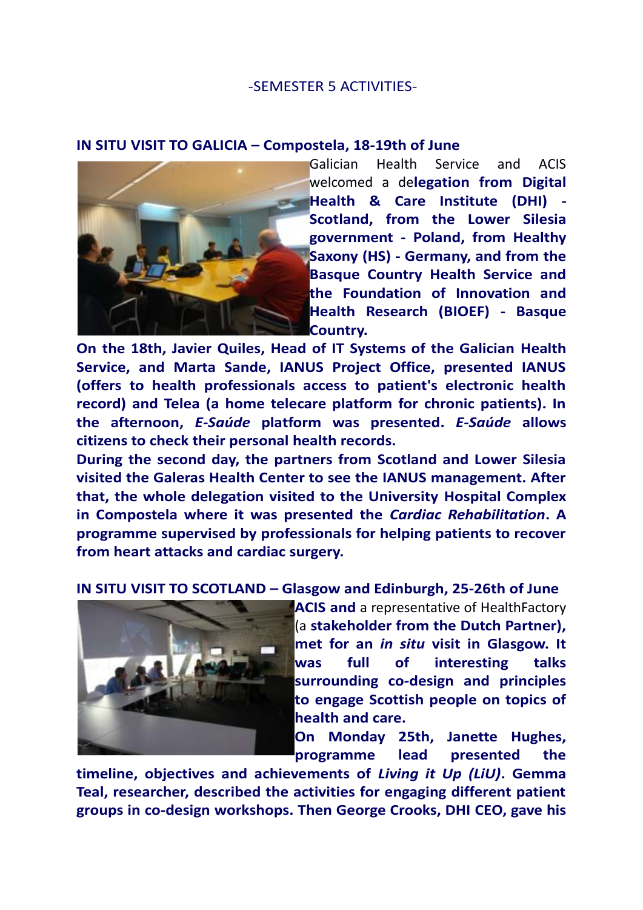## -SEMESTER 5 ACTIVITIES-

## **IN SITU VISIT TO GALICIA – Compostela, 18-19th of June**



Galician Health Service and ACIS welcomed a de**legation from Digital Health & Care Institute (DHI) - Scotland, from the Lower Silesia government - Poland, from Healthy Saxony (HS) - Germany, and from the Basque Country Health Service and the Foundation of Innovation and Health Research (BIOEF) - Basque Country.**

**On the 18th, Javier Quiles, Head of IT Systems of the Galician Health Service, and Marta Sande, IANUS Project Office, presented IANUS (offers to health professionals access to patient's electronic health record) and Telea (a home telecare platform for chronic patients). In the afternoon,** *E-Saúde* **platform was presented.** *E-Saúde* **allows citizens to check their personal health records.**

**During the second day, the partners from Scotland and Lower Silesia visited the Galeras Health Center to see the IANUS management. After that, the whole delegation visited to the University Hospital Complex in Compostela where it was presented the** *Cardiac Rehabilitation***. A programme supervised by professionals for helping patients to recover from heart attacks and cardiac surgery.** 

**IN SITU VISIT TO SCOTLAND – Glasgow and Edinburgh, 25-26th of June**



**ACIS and** a representative of HealthFactory (a **stakeholder from the Dutch Partner), met for an** *in situ* **visit in Glasgow. It was full of interesting talks surrounding co-design and principles to engage Scottish people on topics of health and care.** 

**On Monday 25th, Janette Hughes, programme lead presented the** 

**timeline, objectives and achievements of** *Living it Up (LiU)***. Gemma Teal, researcher, described the activities for engaging different patient groups in co-design workshops. Then George Crooks, DHI CEO, gave his**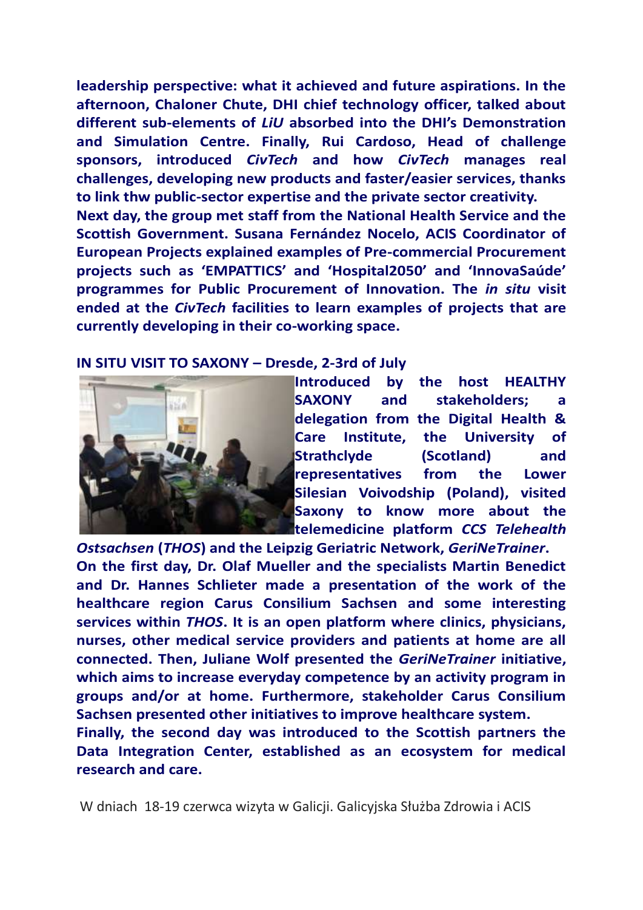**leadership perspective: what it achieved and future aspirations. In the afternoon, Chaloner Chute, DHI chief technology officer, talked about different sub-elements of** *LiU* **absorbed into the DHI's Demonstration and Simulation Centre. Finally, Rui Cardoso, Head of challenge sponsors, introduced** *CivTech* **and how** *CivTech* **manages real challenges, developing new products and faster/easier services, thanks to link thw public-sector expertise and the private sector creativity. Next day, the group met staff from the National Health Service and the Scottish Government. Susana Fernández Nocelo, ACIS Coordinator of European Projects explained examples of Pre-commercial Procurement** 

**projects such as 'EMPATTICS' and 'Hospital2050' and 'InnovaSaúde' programmes for Public Procurement of Innovation. The** *in situ* **visit ended at the** *CivTech* **facilities to learn examples of projects that are currently developing in their co-working space.**

## **IN SITU VISIT TO SAXONY – Dresde, 2-3rd of July**



**Introduced by the host HEALTHY SAXONY and stakeholders; a delegation from the Digital Health & Care Institute, the University of Strathclyde (Scotland) and representatives from the Lower Silesian Voivodship (Poland), visited Saxony to know more about the telemedicine platform** *CCS Telehealth* 

*Ostsachsen* **(***THOS***) and the Leipzig Geriatric Network,** *GeriNeTrainer***. On the first day, Dr. Olaf Mueller and the specialists Martin Benedict and Dr. Hannes Schlieter made a presentation of the work of the healthcare region Carus Consilium Sachsen and some interesting services within** *THOS***. It is an open platform where clinics, physicians, nurses, other medical service providers and patients at home are all connected. Then, Juliane Wolf presented the** *GeriNeTrainer* **initiative, which aims to increase everyday competence by an activity program in groups and/or at home. Furthermore, stakeholder Carus Consilium Sachsen presented other initiatives to improve healthcare system.**

**Finally, the second day was introduced to the Scottish partners the Data Integration Center, established as an ecosystem for medical research and care.**

W dniach 18-19 czerwca wizyta w Galicji. Galicyjska Służba Zdrowia i ACIS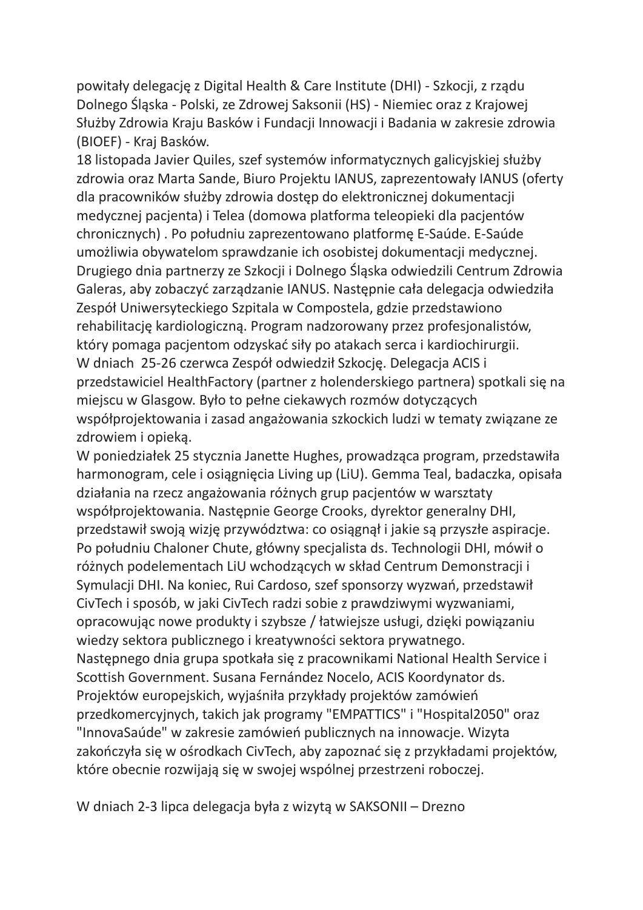powitały delegację z Digital Health & Care Institute (DHI) - Szkocji, z rządu Dolnego Śląska - Polski, ze Zdrowej Saksonii (HS) - Niemiec oraz z Krajowej Służby Zdrowia Kraju Basków i Fundacji Innowacji i Badania w zakresie zdrowia (BIOEF) - Kraj Basków.

18 listopada Javier Quiles, szef systemów informatycznych galicyjskiej służby zdrowia oraz Marta Sande, Biuro Projektu IANUS, zaprezentowały IANUS (oferty dla pracowników służby zdrowia dostęp do elektronicznej dokumentacji medycznej pacjenta) i Telea (domowa platforma teleopieki dla pacjentów chronicznych) . Po południu zaprezentowano platformę E-Saúde. E-Saúde umożliwia obywatelom sprawdzanie ich osobistej dokumentacji medycznej. Drugiego dnia partnerzy ze Szkocji i Dolnego Śląska odwiedzili Centrum Zdrowia Galeras, aby zobaczyć zarządzanie IANUS. Następnie cała delegacja odwiedziła Zespół Uniwersyteckiego Szpitala w Compostela, gdzie przedstawiono rehabilitację kardiologiczną. Program nadzorowany przez profesjonalistów, który pomaga pacjentom odzyskać siły po atakach serca i kardiochirurgii. W dniach 25-26 czerwca Zespół odwiedził Szkocję. Delegacja ACIS i przedstawiciel HealthFactory (partner z holenderskiego partnera) spotkali się na miejscu w Glasgow. Było to pełne ciekawych rozmów dotyczących współprojektowania i zasad angażowania szkockich ludzi w tematy związane ze zdrowiem i opieką.

W poniedziałek 25 stycznia Janette Hughes, prowadząca program, przedstawiła harmonogram, cele i osiągnięcia Living up (LiU). Gemma Teal, badaczka, opisała działania na rzecz angażowania różnych grup pacjentów w warsztaty współprojektowania. Następnie George Crooks, dyrektor generalny DHI, przedstawił swoją wizję przywództwa: co osiągnął i jakie są przyszłe aspiracje. Po południu Chaloner Chute, główny specjalista ds. Technologii DHI, mówił o różnych podelementach LiU wchodzących w skład Centrum Demonstracji i Symulacji DHI. Na koniec, Rui Cardoso, szef sponsorzy wyzwań, przedstawił CivTech i sposób, w jaki CivTech radzi sobie z prawdziwymi wyzwaniami, opracowując nowe produkty i szybsze / łatwiejsze usługi, dzięki powiązaniu wiedzy sektora publicznego i kreatywności sektora prywatnego. Następnego dnia grupa spotkała się z pracownikami National Health Service i Scottish Government. Susana Fernández Nocelo, ACIS Koordynator ds. Projektów europejskich, wyjaśniła przykłady projektów zamówień przedkomercyjnych, takich jak programy "EMPATTICS" i "Hospital2050" oraz "InnovaSaúde" w zakresie zamówień publicznych na innowacje. Wizyta zakończyła się w ośrodkach CivTech, aby zapoznać się z przykładami projektów, które obecnie rozwijają się w swojej wspólnej przestrzeni roboczej.

W dniach 2-3 lipca delegacja była z wizytą w SAKSONII – Drezno